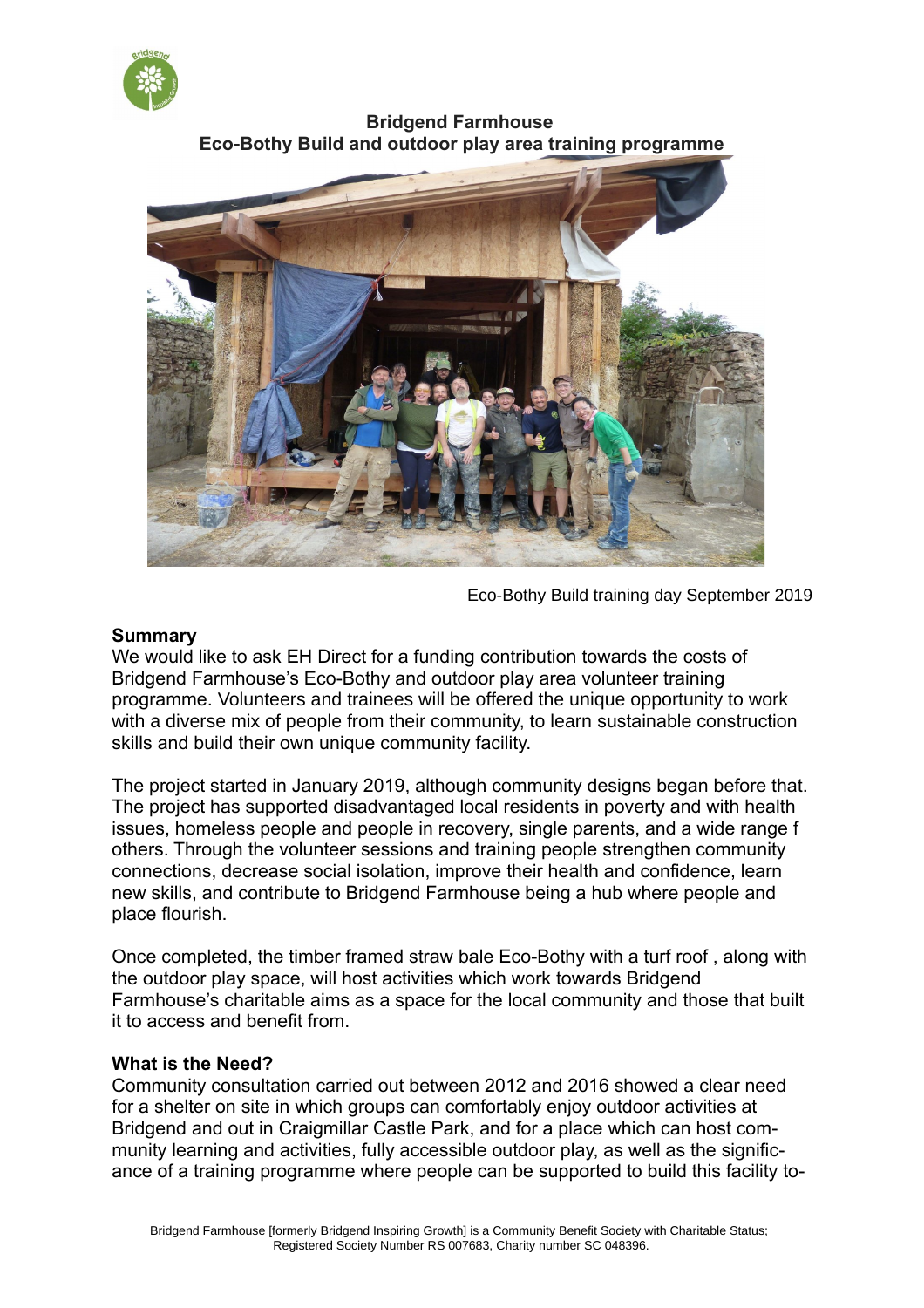

**Bridgend Farmhouse Eco-Bothy Build and outdoor play area training programme**



Eco-Bothy Build training day September 2019

## **Summary**

We would like to ask EH Direct for a funding contribution towards the costs of Bridgend Farmhouse's Eco-Bothy and outdoor play area volunteer training programme. Volunteers and trainees will be offered the unique opportunity to work with a diverse mix of people from their community, to learn sustainable construction skills and build their own unique community facility.

The project started in January 2019, although community designs began before that. The project has supported disadvantaged local residents in poverty and with health issues, homeless people and people in recovery, single parents, and a wide range f others. Through the volunteer sessions and training people strengthen community connections, decrease social isolation, improve their health and confidence, learn new skills, and contribute to Bridgend Farmhouse being a hub where people and place flourish.

Once completed, the timber framed straw bale Eco-Bothy with a turf roof , along with the outdoor play space, will host activities which work towards Bridgend Farmhouse's charitable aims as a space for the local community and those that built it to access and benefit from.

## **What is the Need?**

Community consultation carried out between 2012 and 2016 showed a clear need for a shelter on site in which groups can comfortably enjoy outdoor activities at Bridgend and out in Craigmillar Castle Park, and for a place which can host community learning and activities, fully accessible outdoor play, as well as the significance of a training programme where people can be supported to build this facility to-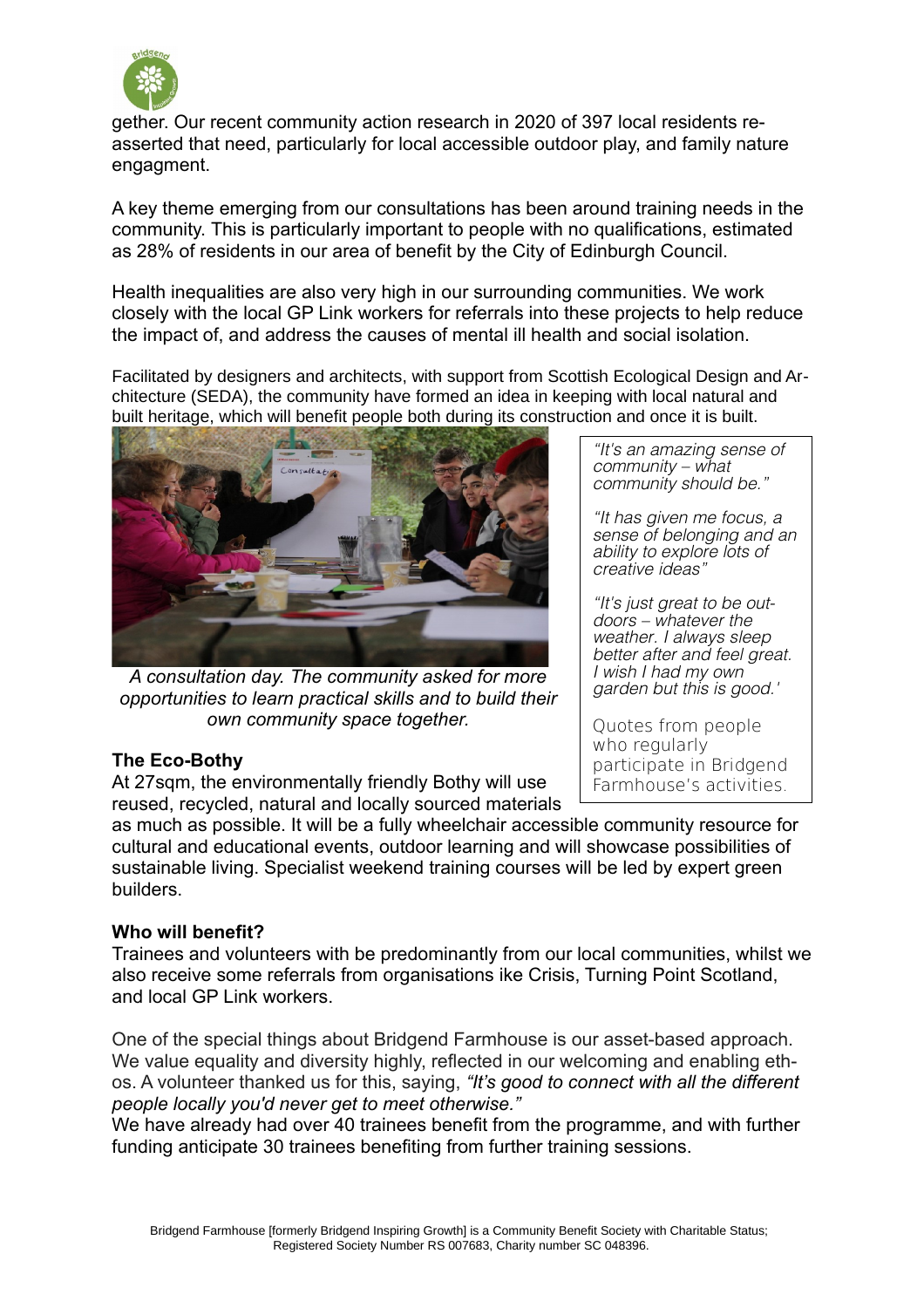

gether. Our recent community action research in 2020 of 397 local residents reasserted that need, particularly for local accessible outdoor play, and family nature engagment.

A key theme emerging from our consultations has been around training needs in the community. This is particularly important to people with no qualifications, estimated as 28% of residents in our area of benefit by the City of Edinburgh Council.

Health inequalities are also very high in our surrounding communities. We work closely with the local GP Link workers for referrals into these projects to help reduce the impact of, and address the causes of mental ill health and social isolation.

Facilitated by designers and architects, with support from Scottish Ecological Design and Architecture (SEDA), the community have formed an idea in keeping with local natural and built heritage, which will benefit people both during its construction and once it is built.



*A consultation day. The community asked for more opportunities to learn practical skills and to build their own community space together.*

## **The Eco-Bothy**

At 27sqm, the environmentally friendly Bothy will use reused, recycled, natural and locally sourced materials

"It's an amazing sense of community – what community should be."

"It has given me focus, a sense of belonging and an ability to explore lots of creative ideas"

"It's just great to be outdoors – whatever the weather. I always sleep better after and feel great. I wish I had my own garden but this is good.'

Quotes from people who regularly participate in Bridgend Farmhouse's activities.

as much as possible. It will be a fully wheelchair accessible community resource for cultural and educational events, outdoor learning and will showcase possibilities of sustainable living. Specialist weekend training courses will be led by expert green builders.

## **Who will benefit?**

Trainees and volunteers with be predominantly from our local communities, whilst we also receive some referrals from organisations ike Crisis, Turning Point Scotland, and local GP Link workers.

One of the special things about Bridgend Farmhouse is our asset-based approach. We value equality and diversity highly, reflected in our welcoming and enabling ethos. A volunteer thanked us for this, saying, *"It's good to connect with all the different people locally you'd never get to meet otherwise."*

We have already had over 40 trainees benefit from the programme, and with further funding anticipate 30 trainees benefiting from further training sessions.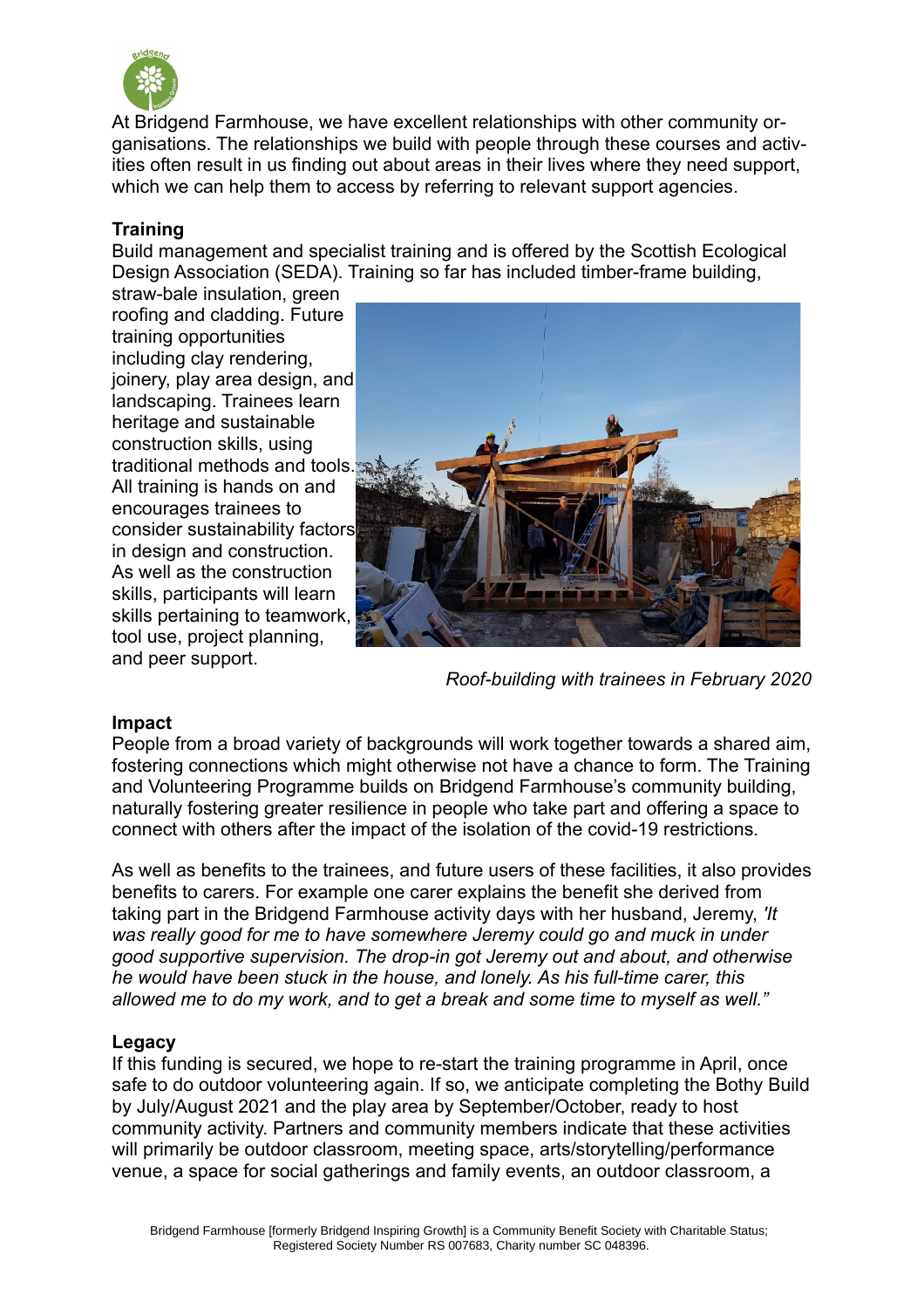

At Bridgend Farmhouse, we have excellent relationships with other community organisations. The relationships we build with people through these courses and activities often result in us finding out about areas in their lives where they need support, which we can help them to access by referring to relevant support agencies.

# **Training**

Build management and specialist training and is offered by the Scottish Ecological Design Association (SEDA). Training so far has included timber-frame building,

straw-bale insulation, green roofing and cladding. Future training opportunities including clay rendering, joinery, play area design, and landscaping. Trainees learn heritage and sustainable construction skills, using traditional methods and tools. All training is hands on and encourages trainees to consider sustainability factors in design and construction. As well as the construction skills, participants will learn skills pertaining to teamwork, tool use, project planning, and peer support.



*Roof-building with trainees in February 2020*

## **Impact**

People from a broad variety of backgrounds will work together towards a shared aim, fostering connections which might otherwise not have a chance to form. The Training and Volunteering Programme builds on Bridgend Farmhouse's community building, naturally fostering greater resilience in people who take part and offering a space to connect with others after the impact of the isolation of the covid-19 restrictions.

As well as benefits to the trainees, and future users of these facilities, it also provides benefits to carers. For example one carer explains the benefit she derived from taking part in the Bridgend Farmhouse activity days with her husband, Jeremy, *'It was really good for me to have somewhere Jeremy could go and muck in under good supportive supervision. The drop-in got Jeremy out and about, and otherwise he would have been stuck in the house, and lonely. As his full-time carer, this allowed me to do my work, and to get a break and some time to myself as well."*

## **Legacy**

If this funding is secured, we hope to re-start the training programme in April, once safe to do outdoor volunteering again. If so, we anticipate completing the Bothy Build by July/August 2021 and the play area by September/October, ready to host community activity. Partners and community members indicate that these activities will primarily be outdoor classroom, meeting space, arts/storytelling/performance venue, a space for social gatherings and family events, an outdoor classroom, a